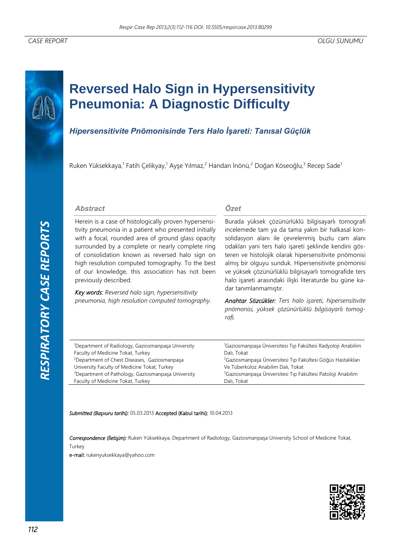*RESPIRATORY CASE REPORTS*RESPIRATORY CASE REPORTS

# **Reversed Halo Sign in Hypersensitivity Pneumonia: A Diagnostic Difficulty**

## *Hipersensitivite Pnömonisinde Ters Halo İşareti: Tanısal Güçlük*

Ruken Yüksekkaya,<sup>1</sup> Fatih Çelikyay,<sup>1</sup> Ayşe Yılmaz,<sup>2</sup> Handan İnönü,<sup>2</sup> Doğan Köseoğlu,<sup>3</sup> Recep Sade<sup>1</sup>

### *Abstract*

Herein is a case of histologically proven hypersensitivity pneumonia in a patient who presented initially with a focal, rounded area of ground glass opacity surrounded by a complete or nearly complete ring of consolidation known as reversed halo sign on high resolution computed tomography. To the best of our knowledge, this association has not been previously described.

*Key words: Reversed halo sign, hypersensitivity pneumonia, high resolution computed tomography*.

## *Özet*

Burada yüksek çözünürlüklü bilgisayarlı tomografi incelemede tam ya da tama yakın bir halkasal konsolidasyon alanı ile çevrelenmiş buzlu cam alanı odakları yani ters halo işareti şeklinde kendini gösteren ve histolojik olarak hipersensitivite pnömonisi almış bir olguyu sunduk. Hipersensitivite pnömonisi ve yüksek çözünürlüklü bilgisayarlı tomografide ters halo işareti arasındaki ilişki literaturde bu güne kadar tanımlanmamıştır.

*Anahtar Sözcükler: Ters halo işareti, hipersensitivite pnömonisi, yüksek çözünürlüklü bilgisayarlı tomografi.* 

| <sup>1</sup> Department of Radiology, Gaziosmanpasa University | <sup>1</sup> Gaziosmanpaşa Üniversitesi Tıp Fakültesi Radyoloji Anabilim |
|----------------------------------------------------------------|--------------------------------------------------------------------------|
| Faculty of Medicine Tokat, Turkey                              | Dalı, Tokat                                                              |
| <sup>2</sup> Department of Chest Diseases, Gaziosmanpasa       | <sup>2</sup> Gaziosmanpasa Üniversitesi Tıp Fakültesi Göğüs Hastalıkları |
| University Faculty of Medicine Tokat, Turkey                   | Ve Tüberküloz Anabilim Dalı, Tokat                                       |
| <sup>3</sup> Department of Pathology, Gaziosmanpaşa University | <sup>3</sup> Gaziosmanpasa Üniversitesi Tıp Fakültesi Patoloji Anabilim  |
| Faculty of Medicine Tokat, Turkey                              | Dalı, Tokat                                                              |
|                                                                |                                                                          |

#### *Submitted (Başvuru tarihi):* 05.03.2013 Accepted (Kabul tarihi): 10.04.2013

*Correspondence (İletişim):* Ruken Yüksekkaya, Department of Radiology, Gaziosmanpaşa University School of Medicine Tokat, Turkey

e-mail: rukenyuksekkaya@yahoo.com

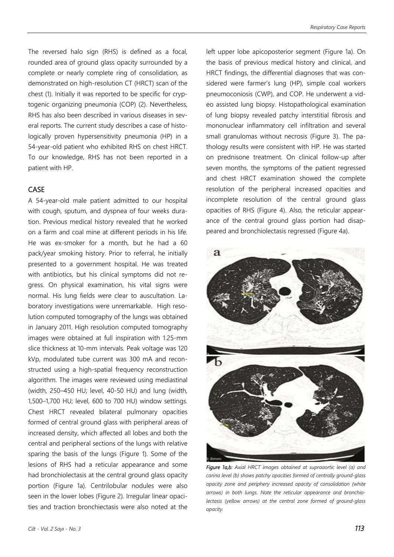The reversed halo sign (RHS) is defined as a focal, rounded area of ground glass opacity surrounded by a complete or nearly complete ring of consolidation, as demonstrated on high-resolution CT (HRCT) scan of the chest (1). Initially it was reported to be specific for cryptogenic organizing pneumonia (COP) (2). Nevertheless, RHS has also been described in various diseases in several reports. The current study describes a case of histologically proven hypersensitivity pneumonia (HP) in a 54-year-old patient who exhibited RHS on chest HRCT. To our knowledge, RHS has not been reported in a patient with HP.

## CASE

A 54-year-old male patient admitted to our hospital with cough, sputum, and dyspnea of four weeks duration. Previous medical history revealed that he worked on a farm and coal mine at different periods in his life. He was ex-smoker for a month, but he had a 60 pack/year smoking history. Prior to referral, he initially presented to a government hospital. He was treated with antibiotics, but his clinical symptoms did not regress. On physical examination, his vital signs were normal. His lung fields were clear to auscultation. Laboratory investigations were unremarkable. High resolution computed tomography of the lungs was obtained in January 2011. High resolution computed tomography images were obtained at full inspiration with 1.25-mm slice thickness at 10-mm intervals. Peak voltage was 120 kVp, modulated tube current was 300 mA and reconstructed using a high-spatial frequency reconstruction algorithm. The images were reviewed using mediastinal (width, 250–450 HU; level, 40-50 HU) and lung (width, 1,500–1,700 HU; level, 600 to 700 HU) window settings. Chest HRCT revealed bilateral pulmonary opacities formed of central ground glass with peripheral areas of increased density, which affected all lobes and both the central and peripheral sections of the lungs with relative sparing the basis of the lungs (Figure 1). Some of the lesions of RHS had a reticular appearance and some had bronchiolectasis at the central ground glass opacity portion (Figure 1a). Centrilobular nodules were also seen in the lower lobes (Figure 2). Irregular linear opacities and traction bronchiectasis were also noted at the left upper lobe apicoposterior segment (Figure 1a). On the basis of previous medical history and clinical, and HRCT findings, the differential diagnoses that was considered were farmer's lung (HP), simple coal workers pneumoconiosis (CWP), and COP. He underwent a video assisted lung biopsy. Histopathological examination of lung biopsy revealed patchy interstitial fibrosis and mononuclear inflammatory cell infiltration and several small granulomas without necrosis (Figure 3). The pathology results were consistent with HP. He was started on prednisone treatment. On clinical follow-up after seven months, the symptoms of the patient regressed and chest HRCT examination showed the complete resolution of the peripheral increased opacities and incomplete resolution of the central ground glass opacities of RHS (Figure 4). Also, the reticular appearance of the central ground glass portion had disappeared and bronchiolectasis regressed (Figure 4a).



*Figure 1a,b: Axial HRCT images obtained at supraaortic level (a) and carina level (b) shows patchy opacities formed of centrally ground-glass opacity zone and periphery increased opacity of consolidation (white arrows) in both lungs. Note the reticular appearance and bronchiolectasis (yellow arrows) at the central zone formed of ground-glass opacity.*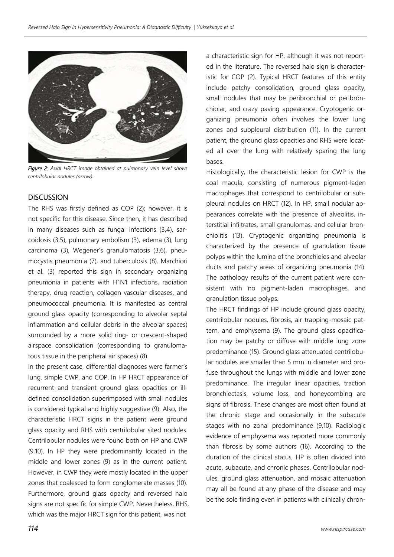

*Figure 2: Axial HRCT image obtained at pulmonary vein level shows centrilobular nodules (arrow).* 

## **DISCUSSION**

The RHS was firstly defined as COP (2); however, it is not specific for this disease. Since then, it has described in many diseases such as fungal infections (3,4), sarcoidosis (3,5), pulmonary embolism (3), edema (3), lung carcinoma (3), Wegener's granulomatosis (3,6), pneumocystis pneumonia (7), and tuberculosis (8). Marchiori et al. (3) reported this sign in secondary organizing pneumonia in patients with H1N1 infections, radiation therapy, drug reaction, collagen vascular diseases, and pneumococcal pneumonia. It is manifested as central ground glass opacity (corresponding to alveolar septal inflammation and cellular debris in the alveolar spaces) surrounded by a more solid ring- or crescent-shaped airspace consolidation (corresponding to granulomatous tissue in the peripheral air spaces) (8).

In the present case, differential diagnoses were farmer's lung, simple CWP, and COP. In HP HRCT appearance of recurrent and transient ground glass opacities or illdefined consolidation superimposed with small nodules is considered typical and highly suggestive (9). Also, the characteristic HRCT signs in the patient were ground glass opacity and RHS with centrilobular sited nodules. Centrilobular nodules were found both on HP and CWP (9,10). In HP they were predominantly located in the middle and lower zones (9) as in the current patient. However, in CWP they were mostly located in the upper zones that coalesced to form conglomerate masses (10). Furthermore, ground glass opacity and reversed halo signs are not specific for simple CWP. Nevertheless, RHS, which was the major HRCT sign for this patient, was not

a characteristic sign for HP, although it was not reported in the literature. The reversed halo sign is characteristic for COP (2). Typical HRCT features of this entity include patchy consolidation, ground glass opacity, small nodules that may be peribronchial or peribronchiolar, and crazy paving appearance. Cryptogenic organizing pneumonia often involves the lower lung zones and subpleural distribution (11). In the current patient, the ground glass opacities and RHS were located all over the lung with relatively sparing the lung bases.

Histologically, the characteristic lesion for CWP is the coal macula, consisting of numerous pigment-laden macrophages that correspond to centrilobular or subpleural nodules on HRCT (12). In HP, small nodular appearances correlate with the presence of alveolitis, interstitial infiltrates, small granulomas, and cellular bronchiolitis (13). Cryptogenic organizing pneumonia is characterized by the presence of granulation tissue polyps within the lumina of the bronchioles and alveolar ducts and patchy areas of organizing pneumonia (14). The pathology results of the current patient were consistent with no pigment-laden macrophages, and granulation tissue polyps.

The HRCT findings of HP include ground glass opacity, centrilobular nodules, fibrosis, air trapping-mosaic pattern, and emphysema (9). The ground glass opacification may be patchy or diffuse with middle lung zone predominance (15). Ground glass attenuated centrilobular nodules are smaller than 5 mm in diameter and profuse throughout the lungs with middle and lower zone predominance. The irregular linear opacities, traction bronchiectasis, volume loss, and honeycombing are signs of fibrosis. These changes are most often found at the chronic stage and occasionally in the subacute stages with no zonal predominance (9,10). Radiologic evidence of emphysema was reported more commonly than fibrosis by some authors (16). According to the duration of the clinical status, HP is often divided into acute, subacute, and chronic phases. Centrilobular nodules, ground glass attenuation, and mosaic attenuation may all be found at any phase of the disease and may be the sole finding even in patients with clinically chron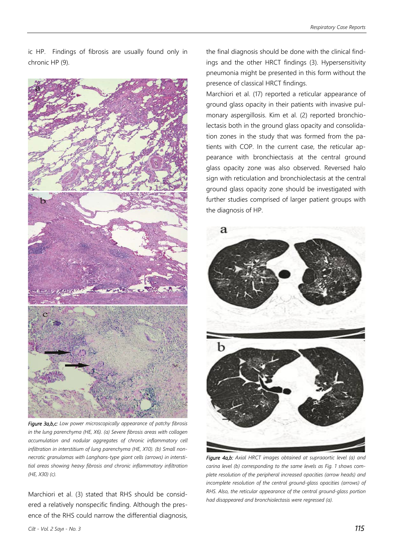ic HP. Findings of fibrosis are usually found only in chronic HP (9).



*Figure 3a,b,c: Low power microscopically appearance of patchy fibrosis in the lung parenchyma (HE, X6). (a) Severe fibrosis areas with collagen accumulation and nodular aggregates of chronic inflammatory cell infiltration in interstitium of lung parenchyma (HE, X10). (b) Small nonnecrotic granulomas with Langhans-type giant cells (arrows) in interstitial areas showing heavy fibrosis and chronic inflammatory infiltration (HE, X30) (c).*

Marchiori et al. (3) stated that RHS should be considered a relatively nonspecific finding. Although the presence of the RHS could narrow the differential diagnosis, the final diagnosis should be done with the clinical findings and the other HRCT findings (3). Hypersensitivity pneumonia might be presented in this form without the presence of classical HRCT findings.

Marchiori et al. (17) reported a reticular appearance of ground glass opacity in their patients with invasive pulmonary aspergillosis. Kim et al. (2) reported bronchiolectasis both in the ground glass opacity and consolidation zones in the study that was formed from the patients with COP. In the current case, the reticular appearance with bronchiectasis at the central ground glass opacity zone was also observed. Reversed halo sign with reticulation and bronchiolectasis at the central ground glass opacity zone should be investigated with further studies comprised of larger patient groups with the diagnosis of HP.



*Figure 4a,b: Axial HRCT images obtained at supraaortic level (a) and carina level (b) corresponding to the same levels as Fig. 1 shows complete resolution of the peripheral increased opacities (arrow heads) and incomplete resolution of the central ground-glass opacities (arrows) of RHS. Also, the reticular appearance of the central ground-glass portion had disappeared and bronchiolectasis were regressed (a).*